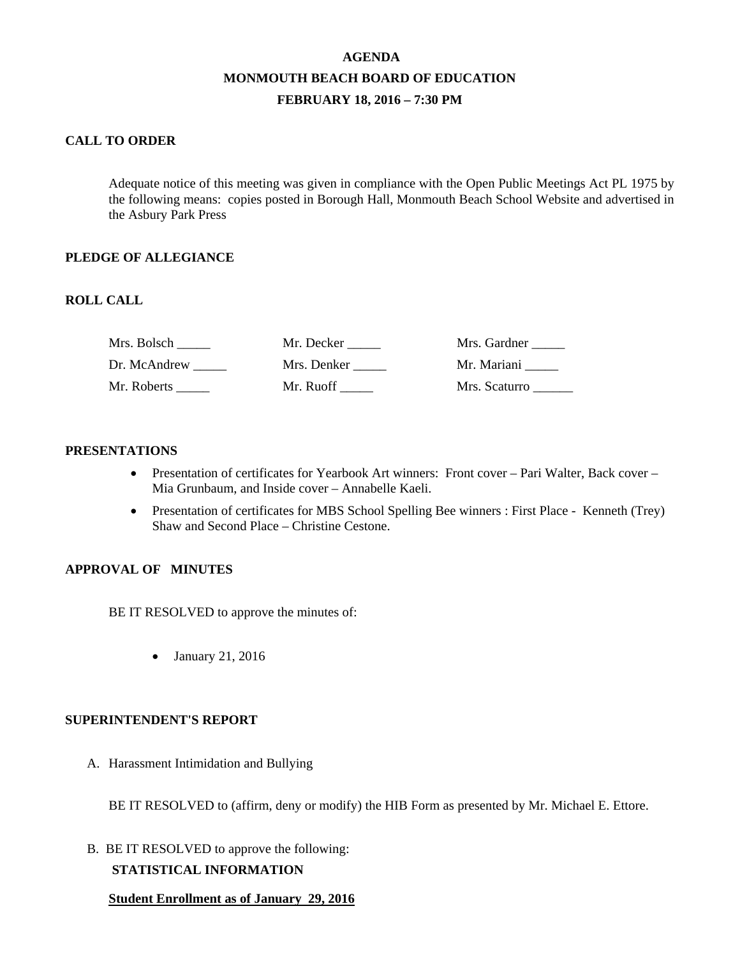# **AGENDA MONMOUTH BEACH BOARD OF EDUCATION FEBRUARY 18, 2016 – 7:30 PM**

## **CALL TO ORDER**

Adequate notice of this meeting was given in compliance with the Open Public Meetings Act PL 1975 by the following means: copies posted in Borough Hall, Monmouth Beach School Website and advertised in the Asbury Park Press

#### **PLEDGE OF ALLEGIANCE**

## **ROLL CALL**

| Mrs. Bolsch  | Mr. Decker  | Mrs. Gardner  |
|--------------|-------------|---------------|
| Dr. McAndrew | Mrs. Denker | Mr. Mariani   |
| Mr. Roberts  | Mr. Ruoff   | Mrs. Scaturro |

#### **PRESENTATIONS**

- Presentation of certificates for Yearbook Art winners: Front cover Pari Walter, Back cover Mia Grunbaum, and Inside cover – Annabelle Kaeli.
- Presentation of certificates for MBS School Spelling Bee winners : First Place Kenneth (Trey) Shaw and Second Place – Christine Cestone.

#### **APPROVAL OF MINUTES**

BE IT RESOLVED to approve the minutes of:

• January 21, 2016

#### **SUPERINTENDENT'S REPORT**

A. Harassment Intimidation and Bullying

BE IT RESOLVED to (affirm, deny or modify) the HIB Form as presented by Mr. Michael E. Ettore.

B. BE IT RESOLVED to approve the following:

# **STATISTICAL INFORMATION**

**Student Enrollment as of January 29, 2016**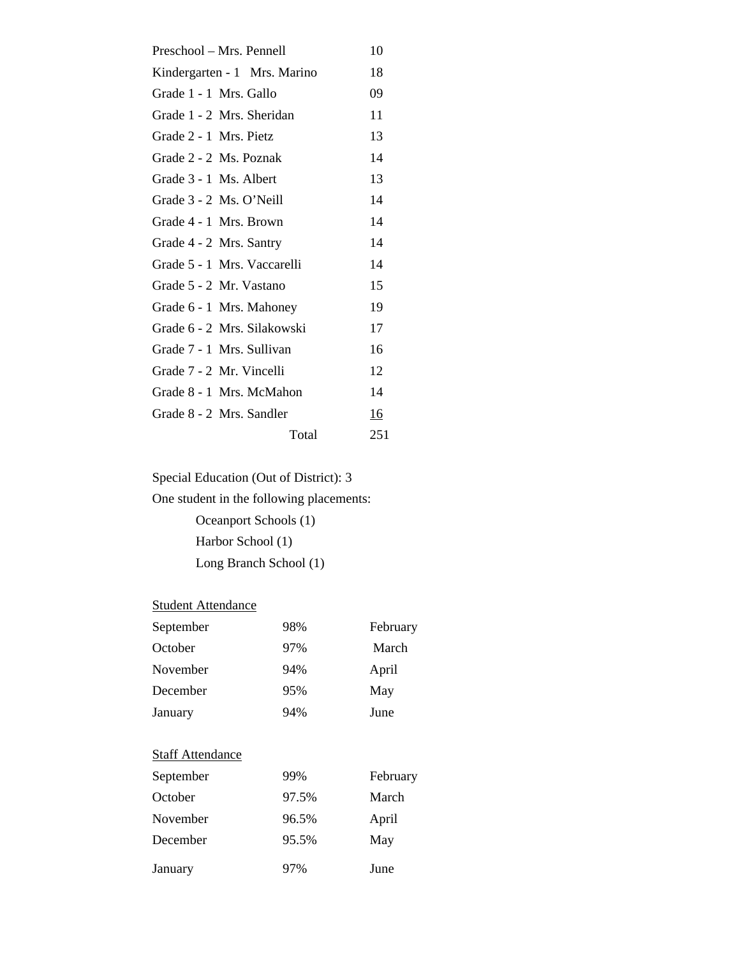| 10        |
|-----------|
| 18        |
| 09        |
| 11        |
| 13        |
| 14        |
| 13        |
| 14        |
| 14        |
| 14        |
| 14        |
| 15        |
| 19        |
| 17        |
| 16        |
| 12        |
| 14        |
| <u>16</u> |
| 251       |
|           |

Special Education (Out of District): 3

One student in the following placements:

 Oceanport Schools (1) Harbor School (1) Long Branch School (1)

# **Student Attendance**

| September               | 98%   | February |
|-------------------------|-------|----------|
| October                 | 97%   | March    |
| November                | 94%   | April    |
| December                | 95%   | May      |
| January                 | 94%   | June     |
|                         |       |          |
| <b>Staff Attendance</b> |       |          |
| September               | 99%   | February |
| October                 | 97.5% | March    |
| November                | 96.5% | April    |
| December                | 95.5% | May      |
| January                 | 97%   | June     |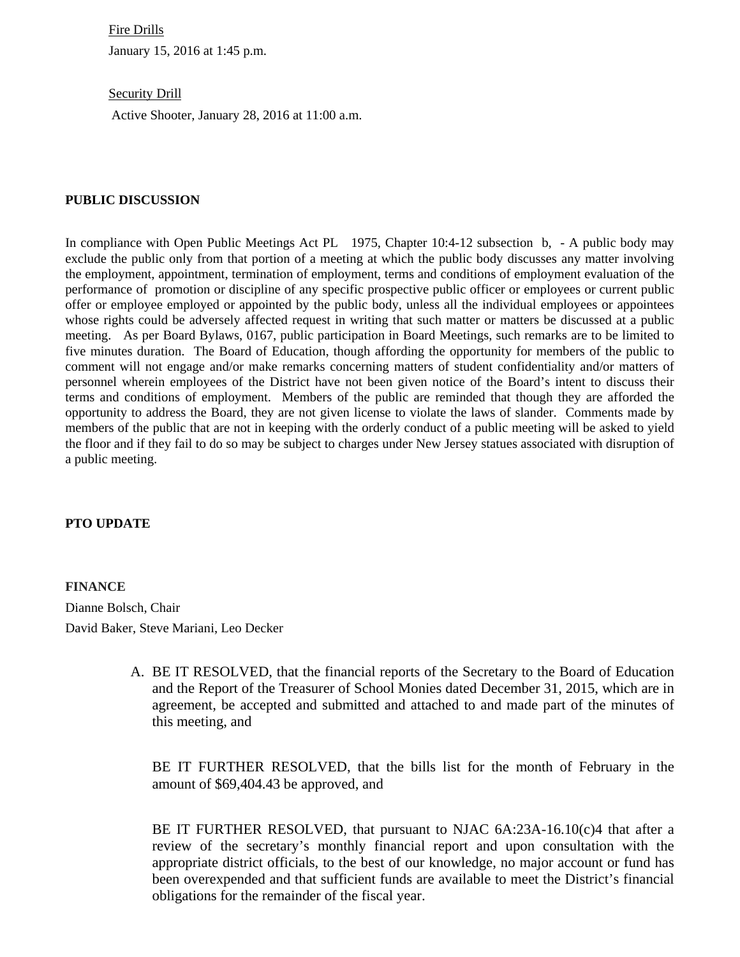Fire Drills January 15, 2016 at 1:45 p.m.

**Security Drill** 

Active Shooter, January 28, 2016 at 11:00 a.m.

#### **PUBLIC DISCUSSION**

In compliance with Open Public Meetings Act PL 1975, Chapter 10:4-12 subsection b, - A public body may exclude the public only from that portion of a meeting at which the public body discusses any matter involving the employment, appointment, termination of employment, terms and conditions of employment evaluation of the performance of promotion or discipline of any specific prospective public officer or employees or current public offer or employee employed or appointed by the public body, unless all the individual employees or appointees whose rights could be adversely affected request in writing that such matter or matters be discussed at a public meeting. As per Board Bylaws, 0167, public participation in Board Meetings, such remarks are to be limited to five minutes duration. The Board of Education, though affording the opportunity for members of the public to comment will not engage and/or make remarks concerning matters of student confidentiality and/or matters of personnel wherein employees of the District have not been given notice of the Board's intent to discuss their terms and conditions of employment. Members of the public are reminded that though they are afforded the opportunity to address the Board, they are not given license to violate the laws of slander. Comments made by members of the public that are not in keeping with the orderly conduct of a public meeting will be asked to yield the floor and if they fail to do so may be subject to charges under New Jersey statues associated with disruption of a public meeting.

#### **PTO UPDATE**

**FINANCE**  Dianne Bolsch, Chair David Baker, Steve Mariani, Leo Decker

> A. BE IT RESOLVED, that the financial reports of the Secretary to the Board of Education and the Report of the Treasurer of School Monies dated December 31, 2015, which are in agreement, be accepted and submitted and attached to and made part of the minutes of this meeting, and

BE IT FURTHER RESOLVED, that the bills list for the month of February in the amount of \$69,404.43 be approved, and

BE IT FURTHER RESOLVED, that pursuant to NJAC  $6A:23A-16.10(c)4$  that after a review of the secretary's monthly financial report and upon consultation with the appropriate district officials, to the best of our knowledge, no major account or fund has been overexpended and that sufficient funds are available to meet the District's financial obligations for the remainder of the fiscal year.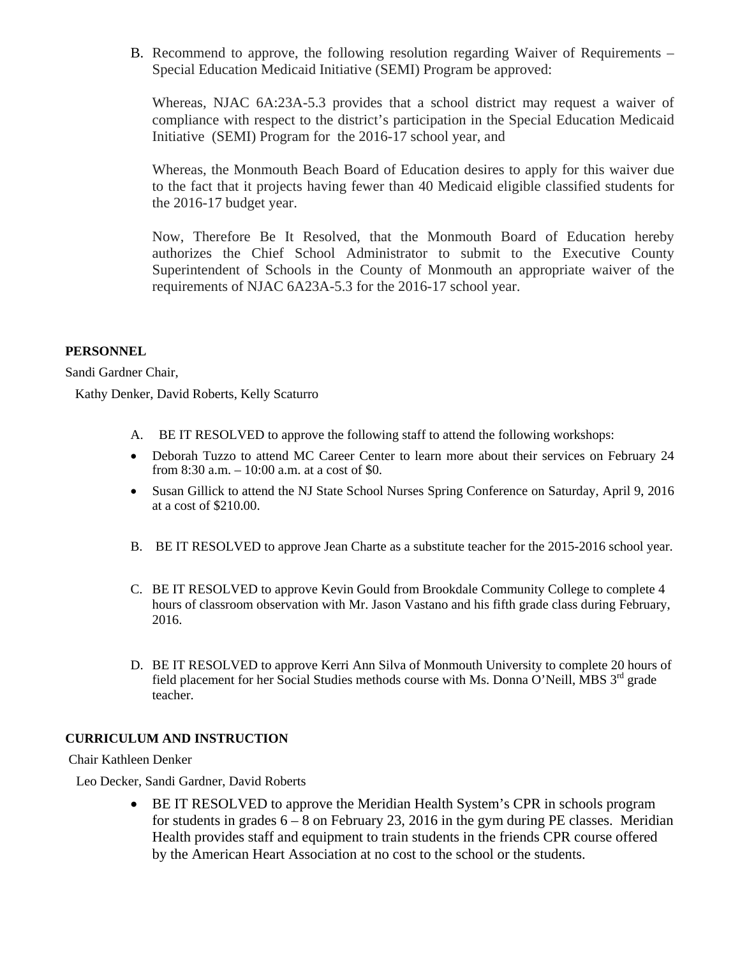B. Recommend to approve, the following resolution regarding Waiver of Requirements – Special Education Medicaid Initiative (SEMI) Program be approved:

Whereas, NJAC 6A:23A-5.3 provides that a school district may request a waiver of compliance with respect to the district's participation in the Special Education Medicaid Initiative (SEMI) Program for the 2016-17 school year, and

Whereas, the Monmouth Beach Board of Education desires to apply for this waiver due to the fact that it projects having fewer than 40 Medicaid eligible classified students for the 2016-17 budget year.

Now, Therefore Be It Resolved, that the Monmouth Board of Education hereby authorizes the Chief School Administrator to submit to the Executive County Superintendent of Schools in the County of Monmouth an appropriate waiver of the requirements of NJAC 6A23A-5.3 for the 2016-17 school year.

#### **PERSONNEL**

Sandi Gardner Chair,

Kathy Denker, David Roberts, Kelly Scaturro

- A. BE IT RESOLVED to approve the following staff to attend the following workshops:
- Deborah Tuzzo to attend MC Career Center to learn more about their services on February 24 from 8:30 a.m. – 10:00 a.m. at a cost of \$0.
- Susan Gillick to attend the NJ State School Nurses Spring Conference on Saturday, April 9, 2016 at a cost of \$210.00.
- B. BE IT RESOLVED to approve Jean Charte as a substitute teacher for the 2015-2016 school year.
- C. BE IT RESOLVED to approve Kevin Gould from Brookdale Community College to complete 4 hours of classroom observation with Mr. Jason Vastano and his fifth grade class during February, 2016.
- D. BE IT RESOLVED to approve Kerri Ann Silva of Monmouth University to complete 20 hours of field placement for her Social Studies methods course with Ms. Donna O'Neill, MBS  $3<sup>rd</sup>$  grade teacher.

# **CURRICULUM AND INSTRUCTION**

Chair Kathleen Denker

Leo Decker, Sandi Gardner, David Roberts

• BE IT RESOLVED to approve the Meridian Health System's CPR in schools program for students in grades  $6 - 8$  on February 23, 2016 in the gym during PE classes. Meridian Health provides staff and equipment to train students in the friends CPR course offered by the American Heart Association at no cost to the school or the students.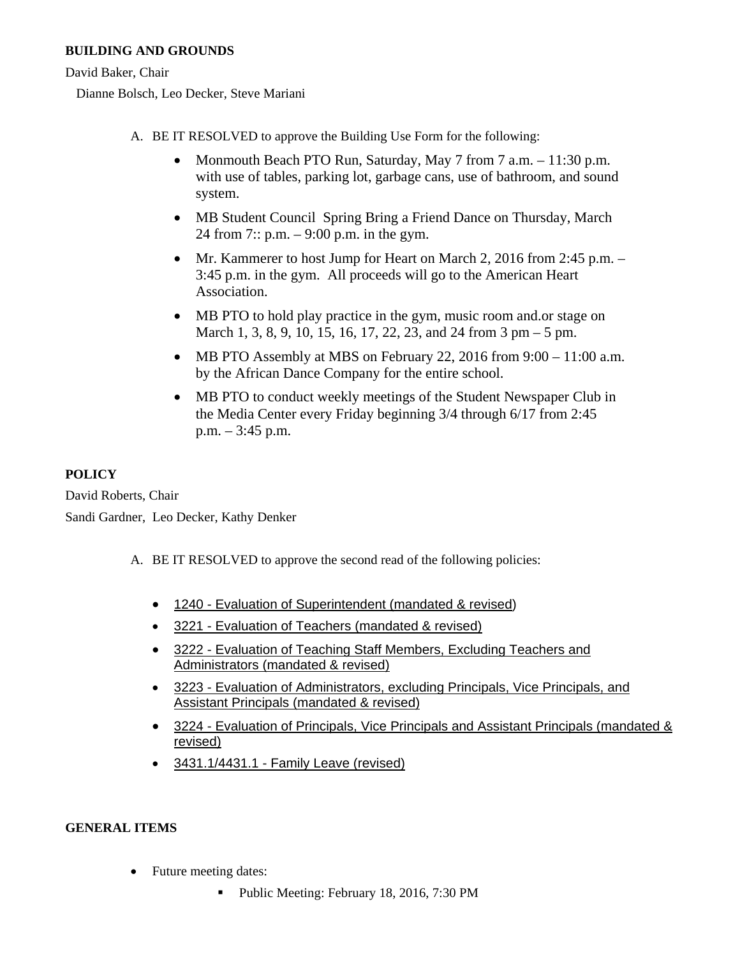# **BUILDING AND GROUNDS**

David Baker, Chair

Dianne Bolsch, Leo Decker, Steve Mariani

- A. BE IT RESOLVED to approve the Building Use Form for the following:
	- Monmouth Beach PTO Run, Saturday, May 7 from 7 a.m. 11:30 p.m. with use of tables, parking lot, garbage cans, use of bathroom, and sound system.
	- MB Student Council Spring Bring a Friend Dance on Thursday, March 24 from 7:: p.m. – 9:00 p.m. in the gym.
	- Mr. Kammerer to host Jump for Heart on March 2, 2016 from 2:45 p.m. 3:45 p.m. in the gym. All proceeds will go to the American Heart Association.
	- MB PTO to hold play practice in the gym, music room and.or stage on March 1, 3, 8, 9, 10, 15, 16, 17, 22, 23, and 24 from 3 pm – 5 pm.
	- MB PTO Assembly at MBS on February 22, 2016 from  $9:00 11:00$  a.m. by the African Dance Company for the entire school.
	- MB PTO to conduct weekly meetings of the Student Newspaper Club in the Media Center every Friday beginning 3/4 through 6/17 from 2:45 p.m. – 3:45 p.m.

# **POLICY**

David Roberts, Chair Sandi Gardner, Leo Decker, Kathy Denker

- A. BE IT RESOLVED to approve the second read of the following policies:
	- 1240 Evaluation of Superintendent (mandated & revised)
	- 3221 Evaluation of Teachers (mandated & revised)
	- 3222 Evaluation of Teaching Staff Members, Excluding Teachers and Administrators (mandated & revised)
	- 3223 Evaluation of Administrators, excluding Principals, Vice Principals, and Assistant Principals (mandated & revised)
	- 3224 Evaluation of Principals, Vice Principals and Assistant Principals (mandated & revised)
	- 3431.1/4431.1 Family Leave (revised)

# **GENERAL ITEMS**

- Future meeting dates:
	- Public Meeting: February 18, 2016, 7:30 PM